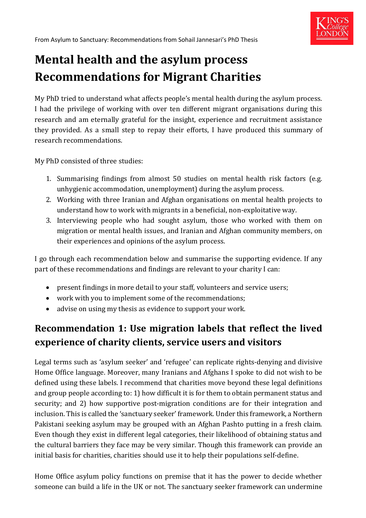

# **Mental health and the asylum process Recommendations for Migrant Charities**

My PhD tried to understand what affects people's mental health during the asylum process. I had the privilege of working with over ten different migrant organisations during this research and am eternally grateful for the insight, experience and recruitment assistance they provided. As a small step to repay their efforts, I have produced this summary of research recommendations.

My PhD consisted of three studies:

- 1. Summarising findings from almost 50 studies on mental health risk factors (e.g. unhygienic accommodation, unemployment) during the asylum process.
- 2. Working with three Iranian and Afghan organisations on mental health projects to understand how to work with migrants in a beneficial, non-exploitative way.
- 3. Interviewing people who had sought asylum, those who worked with them on migration or mental health issues, and Iranian and Afghan community members, on their experiences and opinions of the asylum process.

I go through each recommendation below and summarise the supporting evidence. If any part of these recommendations and findings are relevant to your charity I can:

- present findings in more detail to your staff, volunteers and service users;
- work with you to implement some of the recommendations;
- advise on using my thesis as evidence to support your work.

## **Recommendation 1: Use migration labels that reflect the lived experience of charity clients, service users and visitors**

Legal terms such as 'asylum seeker' and 'refugee' can replicate rights-denying and divisive Home Office language. Moreover, many Iranians and Afghans I spoke to did not wish to be defined using these labels. I recommend that charities move beyond these legal definitions and group people according to: 1) how difficult it is for them to obtain permanent status and security; and 2) how supportive post-migration conditions are for their integration and inclusion. This is called the 'sanctuary seeker' framework. Under this framework, a Northern Pakistani seeking asylum may be grouped with an Afghan Pashto putting in a fresh claim. Even though they exist in different legal categories, their likelihood of obtaining status and the cultural barriers they face may be very similar. Though this framework can provide an initial basis for charities, charities should use it to help their populations self-define.

Home Office asylum policy functions on premise that it has the power to decide whether someone can build a life in the UK or not. The sanctuary seeker framework can undermine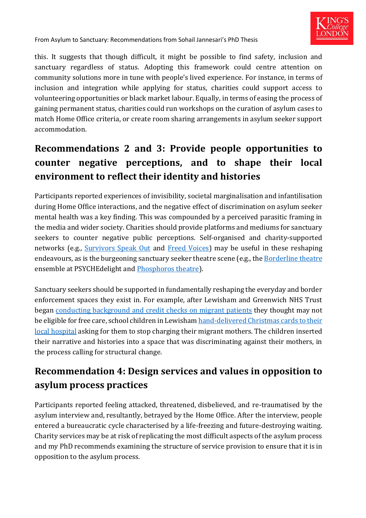

this. It suggests that though difficult, it might be possible to find safety, inclusion and sanctuary regardless of status. Adopting this framework could centre attention on community solutions more in tune with people's lived experience. For instance, in terms of inclusion and integration while applying for status, charities could support access to volunteering opportunities or black market labour. Equally, in terms of easing the process of gaining permanent status, charities could run workshops on the curation of asylum cases to match Home Office criteria, or create room sharing arrangements in asylum seeker support accommodation.

## **Recommendations 2 and 3: Provide people opportunities to counter negative perceptions, and to shape their local environment to reflect their identity and histories**

Participants reported experiences of invisibility, societal marginalisation and infantilisation during Home Office interactions, and the negative effect of discrimination on asylum seeker mental health was a key finding. This was compounded by a perceived parasitic framing in the media and wider society. Charities should provide platforms and mediums for sanctuary seekers to counter negative public perceptions. Self-organised and charity-supported networks (e.g., [Survivors Speak Out](https://www.freedomfromtorture.org/what-we-do/survivor-activism/survivors-speak-out) and [Freed Voices\)](https://detentionaction.org.uk/freed-voices/) may be useful in these reshaping endeavours, as is the burgeoning sanctuary seeker theatre scene (e.g., th[e Borderline theatre](https://www.psychedelight.org/borderline) ensemble at PSYCHEdelight and [Phosphoros theatre\)](https://www.phosphorostheatre.com/).

Sanctuary seekers should be supported in fundamentally reshaping the everyday and border enforcement spaces they exist in. For example, after Lewisham and Greenwich NHS Trust began [conducting background and credit](https://www.theguardian.com/society/2019/sep/30/nhs-body-criticised-over-experian-patient-checks-scheme) checks on migrant patients they thought may not be eligible for free care, school children in Lewisham [hand-delivered Christmas cards to their](https://853.london/2020/12/19/stop-charging-migrants-for-care-schoolchildren-ask-lewisham-and-greenwich-nhs-trust-for-christmas/)  [local hospital](https://853.london/2020/12/19/stop-charging-migrants-for-care-schoolchildren-ask-lewisham-and-greenwich-nhs-trust-for-christmas/) asking for them to stop charging their migrant mothers. The children inserted their narrative and histories into a space that was discriminating against their mothers, in the process calling for structural change.

### **Recommendation 4: Design services and values in opposition to asylum process practices**

Participants reported feeling attacked, threatened, disbelieved, and re-traumatised by the asylum interview and, resultantly, betrayed by the Home Office. After the interview, people entered a bureaucratic cycle characterised by a life-freezing and future-destroying waiting. Charity services may be at risk of replicating the most difficult aspects of the asylum process and my PhD recommends examining the structure of service provision to ensure that it is in opposition to the asylum process.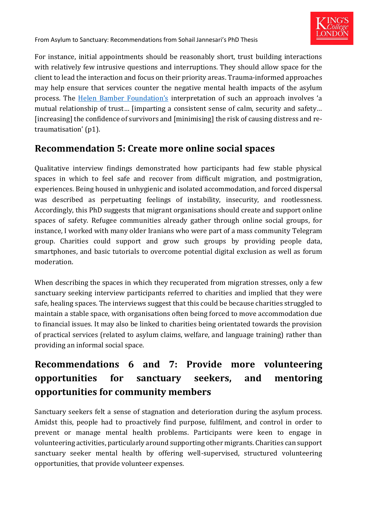

For instance, initial appointments should be reasonably short, trust building interactions with relatively few intrusive questions and interruptions. They should allow space for the client to lead the interaction and focus on their priority areas. Trauma-informed approaches may help ensure that services counter the negative mental health impacts of the asylum process. The [Helen Bamber Foundation's](http://www.helenbamber.org/news/the-trauma-informed-code-of-conduct/) interpretation of such an approach involves 'a mutual relationship of trust… [imparting a consistent sense of calm, security and safety… [increasing] the confidence of survivors and [minimising] the risk of causing distress and retraumatisation' (p1).

#### **Recommendation 5: Create more online social spaces**

Qualitative interview findings demonstrated how participants had few stable physical spaces in which to feel safe and recover from difficult migration, and postmigration, experiences. Being housed in unhygienic and isolated accommodation, and forced dispersal was described as perpetuating feelings of instability, insecurity, and rootlessness. Accordingly, this PhD suggests that migrant organisations should create and support online spaces of safety. Refugee communities already gather through online social groups, for instance, I worked with many older Iranians who were part of a mass community Telegram group. Charities could support and grow such groups by providing people data, smartphones, and basic tutorials to overcome potential digital exclusion as well as forum moderation.

When describing the spaces in which they recuperated from migration stresses, only a few sanctuary seeking interview participants referred to charities and implied that they were safe, healing spaces. The interviews suggest that this could be because charities struggled to maintain a stable space, with organisations often being forced to move accommodation due to financial issues. It may also be linked to charities being orientated towards the provision of practical services (related to asylum claims, welfare, and language training) rather than providing an informal social space.

## **Recommendations 6 and 7: Provide more volunteering opportunities for sanctuary seekers, and mentoring opportunities for community members**

Sanctuary seekers felt a sense of stagnation and deterioration during the asylum process. Amidst this, people had to proactively find purpose, fulfilment, and control in order to prevent or manage mental health problems. Participants were keen to engage in volunteering activities, particularly around supporting other migrants. Charities can support sanctuary seeker mental health by offering well-supervised, structured volunteering opportunities, that provide volunteer expenses.